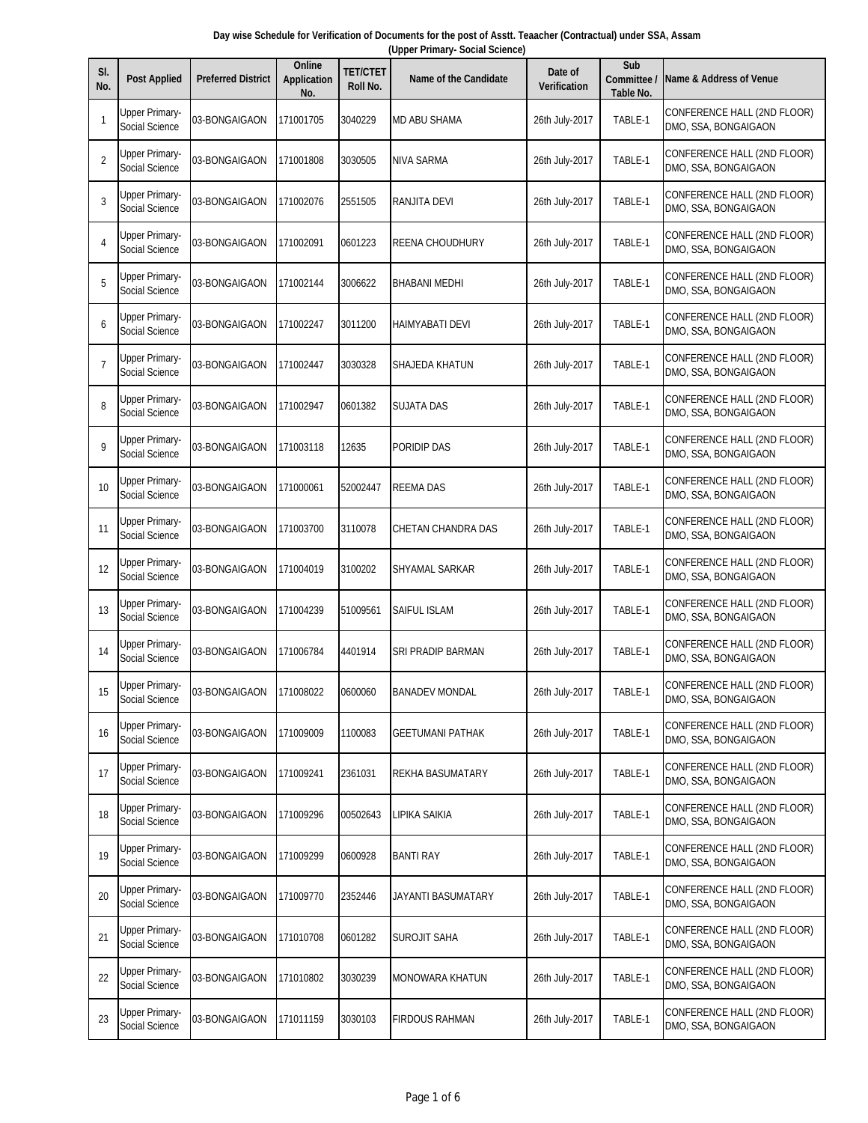| SI.<br>No.     | <b>Post Applied</b>                     | <b>Preferred District</b> | Online<br><b>Application</b><br>No. | <b>TET/CTET</b><br>Roll No. | <b>Name of the Candidate</b> | Date of<br><b>Verification</b> | Sub<br>Committee /<br>Table No. | Name & Address of Venue                             |
|----------------|-----------------------------------------|---------------------------|-------------------------------------|-----------------------------|------------------------------|--------------------------------|---------------------------------|-----------------------------------------------------|
| $\mathbf{1}$   | <b>Upper Primary-</b><br>Social Science | 03-BONGAIGAON             | 171001705                           | 3040229                     | MD ABU SHAMA                 | 26th July-2017                 | TABLE-1                         | CONFERENCE HALL (2ND FLOOR)<br>DMO, SSA, BONGAIGAON |
| $\overline{2}$ | <b>Upper Primary-</b><br>Social Science | 03-BONGAIGAON             | 171001808                           | 3030505                     | NIVA SARMA                   | 26th July-2017                 | TABLE-1                         | CONFERENCE HALL (2ND FLOOR)<br>DMO, SSA, BONGAIGAON |
| 3              | <b>Upper Primary-</b><br>Social Science | 03-BONGAIGAON             | 171002076                           | 2551505                     | RANJITA DEVI                 | 26th July-2017                 | TABLE-1                         | CONFERENCE HALL (2ND FLOOR)<br>DMO, SSA, BONGAIGAON |
| 4              | <b>Upper Primary-</b><br>Social Science | 03-BONGAIGAON             | 171002091                           | 0601223                     | REENA CHOUDHURY              | 26th July-2017                 | TABLE-1                         | CONFERENCE HALL (2ND FLOOR)<br>DMO, SSA, BONGAIGAON |
| 5              | <b>Upper Primary-</b><br>Social Science | 03-BONGAIGAON             | 171002144                           | 3006622                     | BHABANI MEDHI                | 26th July-2017                 | TABLE-1                         | CONFERENCE HALL (2ND FLOOR)<br>DMO, SSA, BONGAIGAON |
| 6              | <b>Upper Primary-</b><br>Social Science | 03-BONGAIGAON             | 171002247                           | 3011200                     | HAIMYABATI DEVI              | 26th July-2017                 | TABLE-1                         | CONFERENCE HALL (2ND FLOOR)<br>DMO, SSA, BONGAIGAON |
| $\overline{7}$ | Upper Primary-<br>Social Science        | 03-BONGAIGAON             | 171002447                           | 3030328                     | SHAJEDA KHATUN               | 26th July-2017                 | TABLE-1                         | CONFERENCE HALL (2ND FLOOR)<br>DMO, SSA, BONGAIGAON |
| 8              | <b>Upper Primary-</b><br>Social Science | 03-BONGAIGAON             | 171002947                           | 0601382                     | SUJATA DAS                   | 26th July-2017                 | TABLE-1                         | CONFERENCE HALL (2ND FLOOR)<br>DMO, SSA, BONGAIGAON |
| 9              | Upper Primary-<br>Social Science        | 03-BONGAIGAON             | 171003118                           | 12635                       | PORIDIP DAS                  | 26th July-2017                 | TABLE-1                         | CONFERENCE HALL (2ND FLOOR)<br>DMO, SSA, BONGAIGAON |
| 10             | <b>Upper Primary-</b><br>Social Science | 03-BONGAIGAON             | 171000061                           | 52002447                    | REEMA DAS                    | 26th July-2017                 | TABLE-1                         | CONFERENCE HALL (2ND FLOOR)<br>DMO, SSA, BONGAIGAON |
| 11             | Upper Primary-<br>Social Science        | 03-BONGAIGAON             | 171003700                           | 3110078                     | CHETAN CHANDRA DAS           | 26th July-2017                 | TABLE-1                         | CONFERENCE HALL (2ND FLOOR)<br>DMO, SSA, BONGAIGAON |
| 12             | Upper Primary-<br>Social Science        | 03-BONGAIGAON             | 171004019                           | 3100202                     | SHYAMAL SARKAR               | 26th July-2017                 | TABLE-1                         | CONFERENCE HALL (2ND FLOOR)<br>DMO, SSA, BONGAIGAON |
| 13             | <b>Upper Primary-</b><br>Social Science | 03-BONGAIGAON             | 171004239                           | 51009561                    | SAIFUL ISLAM                 | 26th July-2017                 | TABLE-1                         | CONFERENCE HALL (2ND FLOOR)<br>DMO, SSA, BONGAIGAON |
| 14             | <b>Upper Primary-</b><br>Social Science | 03-BONGAIGAON             | 171006784                           | 4401914                     | SRI PRADIP BARMAN            | 26th July-2017                 | TABLE-1                         | CONFERENCE HALL (2ND FLOOR)<br>DMO, SSA, BONGAIGAON |
| 15             | <b>Upper Primary-</b><br>Social Science | 03-BONGAIGAON             | 171008022                           | 0600060                     | <b>BANADEV MONDAL</b>        | 26th July-2017                 | TABLE-1                         | CONFERENCE HALL (2ND FLOOR)<br>DMO, SSA, BONGAIGAON |
| 16             | <b>Upper Primary-</b><br>Social Science | 03-BONGAIGAON             | 171009009                           | 1100083                     | <b>GEETUMANI PATHAK</b>      | 26th July-2017                 | TABLE-1                         | CONFERENCE HALL (2ND FLOOR)<br>DMO, SSA, BONGAIGAON |
| 17             | <b>Upper Primary-</b><br>Social Science | 03-BONGAIGAON             | 171009241                           | 2361031                     | REKHA BASUMATARY             | 26th July-2017                 | TABLE-1                         | CONFERENCE HALL (2ND FLOOR)<br>DMO, SSA, BONGAIGAON |
| 18             | <b>Upper Primary-</b><br>Social Science | 03-BONGAIGAON             | 171009296                           | 00502643                    | LIPIKA SAIKIA                | 26th July-2017                 | TABLE-1                         | CONFERENCE HALL (2ND FLOOR)<br>DMO, SSA, BONGAIGAON |
| 19             | <b>Upper Primary-</b><br>Social Science | 03-BONGAIGAON             | 171009299                           | 0600928                     | <b>BANTI RAY</b>             | 26th July-2017                 | TABLE-1                         | CONFERENCE HALL (2ND FLOOR)<br>DMO, SSA, BONGAIGAON |
| 20             | <b>Upper Primary-</b><br>Social Science | 03-BONGAIGAON             | 171009770                           | 2352446                     | JAYANTI BASUMATARY           | 26th July-2017                 | TABLE-1                         | CONFERENCE HALL (2ND FLOOR)<br>DMO, SSA, BONGAIGAON |
| 21             | <b>Upper Primary-</b><br>Social Science | 03-BONGAIGAON             | 171010708                           | 0601282                     | SUROJIT SAHA                 | 26th July-2017                 | TABLE-1                         | CONFERENCE HALL (2ND FLOOR)<br>DMO, SSA, BONGAIGAON |
| 22             | Upper Primary-<br>Social Science        | 03-BONGAIGAON             | 171010802                           | 3030239                     | MONOWARA KHATUN              | 26th July-2017                 | TABLE-1                         | CONFERENCE HALL (2ND FLOOR)<br>DMO, SSA, BONGAIGAON |
| 23             | <b>Upper Primary-</b><br>Social Science | 03-BONGAIGAON             | 171011159                           | 3030103                     | <b>FIRDOUS RAHMAN</b>        | 26th July-2017                 | TABLE-1                         | CONFERENCE HALL (2ND FLOOR)<br>DMO, SSA, BONGAIGAON |

**Day wise Schedule for Verification of Documents for the post of Asstt. Teaacher (Contractual) under SSA, Assam (Upper Primary- Social Science)**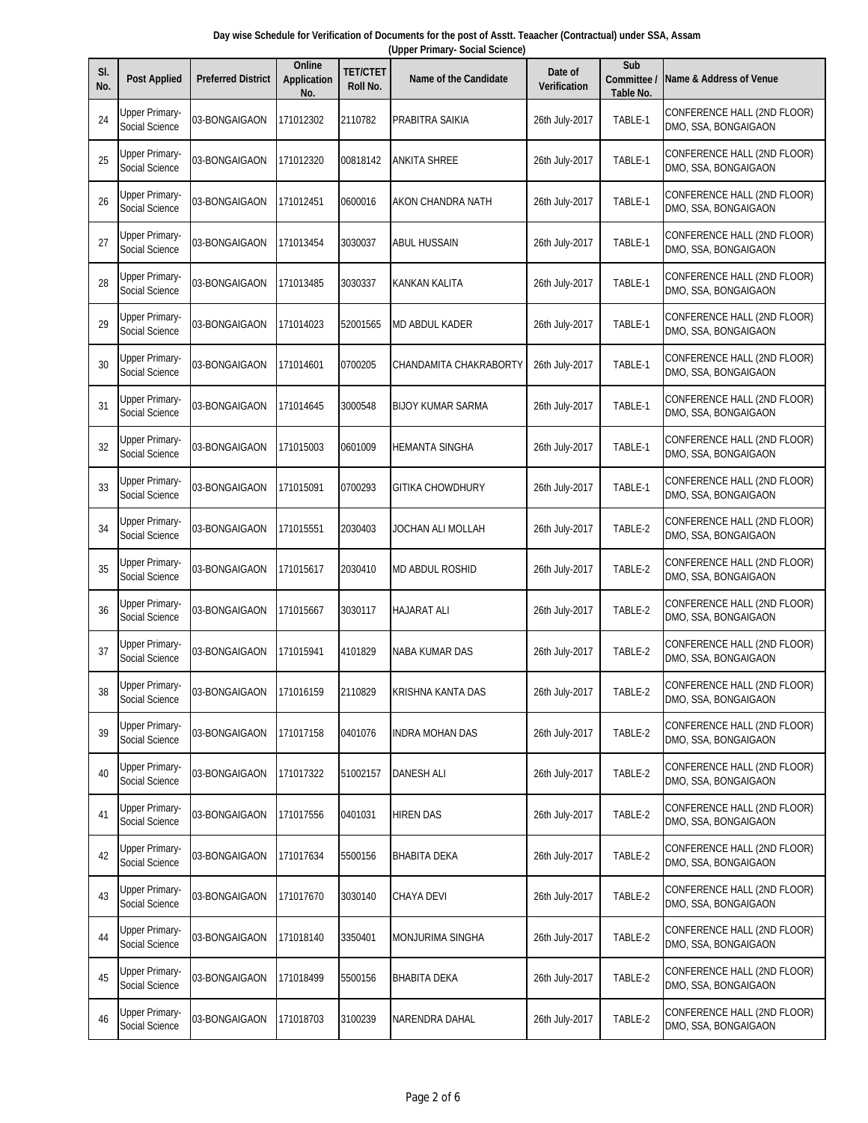| Day wise Schedule for Verification of Documents for the post of Asstt. Teaacher (Contractual) under SSA, Assam |  |  |                                 |  |  |  |  |  |  |  |
|----------------------------------------------------------------------------------------------------------------|--|--|---------------------------------|--|--|--|--|--|--|--|
|                                                                                                                |  |  | (Upper Primary- Social Science) |  |  |  |  |  |  |  |
|                                                                                                                |  |  |                                 |  |  |  |  |  |  |  |

| SI.<br>No. | <b>Post Applied</b>                     | <b>Preferred District</b> | Online<br><b>Application</b><br>No. | <b>TET/CTET</b><br>Roll No. | <b>Name of the Candidate</b> | Date of<br><b>Verification</b> | Sub<br>Committee<br>Table No. | Name & Address of Venue                             |
|------------|-----------------------------------------|---------------------------|-------------------------------------|-----------------------------|------------------------------|--------------------------------|-------------------------------|-----------------------------------------------------|
| 24         | <b>Upper Primary-</b><br>Social Science | 03-BONGAIGAON             | 171012302                           | 2110782                     | PRABITRA SAIKIA              | 26th July-2017                 | TABLE-1                       | CONFERENCE HALL (2ND FLOOR)<br>DMO, SSA, BONGAIGAON |
| 25         | Upper Primary-<br>Social Science        | 03-BONGAIGAON             | 171012320                           | 00818142                    | <b>ANKITA SHREE</b>          | 26th July-2017                 | TABLE-1                       | CONFERENCE HALL (2ND FLOOR)<br>DMO, SSA, BONGAIGAON |
| 26         | <b>Upper Primary-</b><br>Social Science | 03-BONGAIGAON             | 171012451                           | 0600016                     | AKON CHANDRA NATH            | 26th July-2017                 | TABLE-1                       | CONFERENCE HALL (2ND FLOOR)<br>DMO, SSA, BONGAIGAON |
| 27         | <b>Upper Primary-</b><br>Social Science | 03-BONGAIGAON             | 171013454                           | 3030037                     | ABUL HUSSAIN                 | 26th July-2017                 | TABLE-1                       | CONFERENCE HALL (2ND FLOOR)<br>DMO, SSA, BONGAIGAON |
| 28         | <b>Upper Primary-</b><br>Social Science | 03-BONGAIGAON             | 171013485                           | 3030337                     | KANKAN KALITA                | 26th July-2017                 | TABLE-1                       | CONFERENCE HALL (2ND FLOOR)<br>DMO, SSA, BONGAIGAON |
| 29         | <b>Upper Primary-</b><br>Social Science | 03-BONGAIGAON             | 171014023                           | 52001565                    | MD ABDUL KADER               | 26th July-2017                 | TABLE-1                       | CONFERENCE HALL (2ND FLOOR)<br>DMO, SSA, BONGAIGAON |
| 30         | Upper Primary-<br>Social Science        | 03-BONGAIGAON             | 171014601                           | 0700205                     | CHANDAMITA CHAKRABORTY       | 26th July-2017                 | TABLE-1                       | CONFERENCE HALL (2ND FLOOR)<br>DMO, SSA, BONGAIGAON |
| 31         | <b>Upper Primary-</b><br>Social Science | 03-BONGAIGAON             | 171014645                           | 3000548                     | <b>BIJOY KUMAR SARMA</b>     | 26th July-2017                 | TABLE-1                       | CONFERENCE HALL (2ND FLOOR)<br>DMO, SSA, BONGAIGAON |
| 32         | <b>Upper Primary-</b><br>Social Science | 03-BONGAIGAON             | 171015003                           | 0601009                     | <b>HEMANTA SINGHA</b>        | 26th July-2017                 | TABLE-1                       | CONFERENCE HALL (2ND FLOOR)<br>DMO, SSA, BONGAIGAON |
| 33         | <b>Upper Primary-</b><br>Social Science | 03-BONGAIGAON             | 171015091                           | 0700293                     | <b>GITIKA CHOWDHURY</b>      | 26th July-2017                 | TABLE-1                       | CONFERENCE HALL (2ND FLOOR)<br>DMO, SSA, BONGAIGAON |
| 34         | <b>Upper Primary-</b><br>Social Science | 03-BONGAIGAON             | 171015551                           | 2030403                     | JOCHAN ALI MOLLAH            | 26th July-2017                 | TABLE-2                       | CONFERENCE HALL (2ND FLOOR)<br>DMO, SSA, BONGAIGAON |
| 35         | Upper Primary-<br>Social Science        | 03-BONGAIGAON             | 171015617                           | 2030410                     | <b>MD ABDUL ROSHID</b>       | 26th July-2017                 | TABLE-2                       | CONFERENCE HALL (2ND FLOOR)<br>DMO, SSA, BONGAIGAON |
| 36         | Upper Primary-<br>Social Science        | 03-BONGAIGAON             | 171015667                           | 3030117                     | HAJARAT ALI                  | 26th July-2017                 | TABLE-2                       | CONFERENCE HALL (2ND FLOOR)<br>DMO, SSA, BONGAIGAON |
| 37         | <b>Upper Primary-</b><br>Social Science | 03-BONGAIGAON             | 171015941                           | 4101829                     | NABA KUMAR DAS               | 26th July-2017                 | TABLE-2                       | CONFERENCE HALL (2ND FLOOR)<br>DMO, SSA, BONGAIGAON |
| 38         | <b>Upper Primary-</b><br>Social Science | 03-BONGAIGAON             | 171016159                           | 2110829                     | KRISHNA KANTA DAS            | 26th July-2017                 | TABLE-2                       | CONFERENCE HALL (2ND FLOOR)<br>DMO, SSA, BONGAIGAON |
| 39         | <b>Upper Primary-</b><br>Social Science | 03-BONGAIGAON             | 171017158                           | 0401076                     | INDRA MOHAN DAS              | 26th July-2017                 | TABLE-2                       | CONFERENCE HALL (2ND FLOOR)<br>DMO, SSA, BONGAIGAON |
| 40         | <b>Upper Primary-</b><br>Social Science | 03-BONGAIGAON             | 171017322                           | 51002157                    | <b>DANESH ALI</b>            | 26th July-2017                 | TABLE-2                       | CONFERENCE HALL (2ND FLOOR)<br>DMO, SSA, BONGAIGAON |
| 41         | <b>Upper Primary-</b><br>Social Science | 03-BONGAIGAON             | 171017556                           | 0401031                     | <b>HIREN DAS</b>             | 26th July-2017                 | TABLE-2                       | CONFERENCE HALL (2ND FLOOR)<br>DMO, SSA, BONGAIGAON |
| 42         | <b>Upper Primary-</b><br>Social Science | 03-BONGAIGAON             | 171017634                           | 5500156                     | <b>BHABITA DEKA</b>          | 26th July-2017                 | TABLE-2                       | CONFERENCE HALL (2ND FLOOR)<br>DMO, SSA, BONGAIGAON |
| 43         | <b>Upper Primary-</b><br>Social Science | 03-BONGAIGAON             | 171017670                           | 3030140                     | CHAYA DEVI                   | 26th July-2017                 | TABLE-2                       | CONFERENCE HALL (2ND FLOOR)<br>DMO, SSA, BONGAIGAON |
| 44         | <b>Upper Primary-</b><br>Social Science | 03-BONGAIGAON             | 171018140                           | 3350401                     | MONJURIMA SINGHA             | 26th July-2017                 | TABLE-2                       | CONFERENCE HALL (2ND FLOOR)<br>DMO, SSA, BONGAIGAON |
| 45         | <b>Upper Primary-</b><br>Social Science | 03-BONGAIGAON             | 171018499                           | 5500156                     | <b>BHABITA DEKA</b>          | 26th July-2017                 | TABLE-2                       | CONFERENCE HALL (2ND FLOOR)<br>DMO, SSA, BONGAIGAON |
| 46         | <b>Upper Primary-</b><br>Social Science | 03-BONGAIGAON             | 171018703                           | 3100239                     | NARENDRA DAHAL               | 26th July-2017                 | TABLE-2                       | CONFERENCE HALL (2ND FLOOR)<br>DMO, SSA, BONGAIGAON |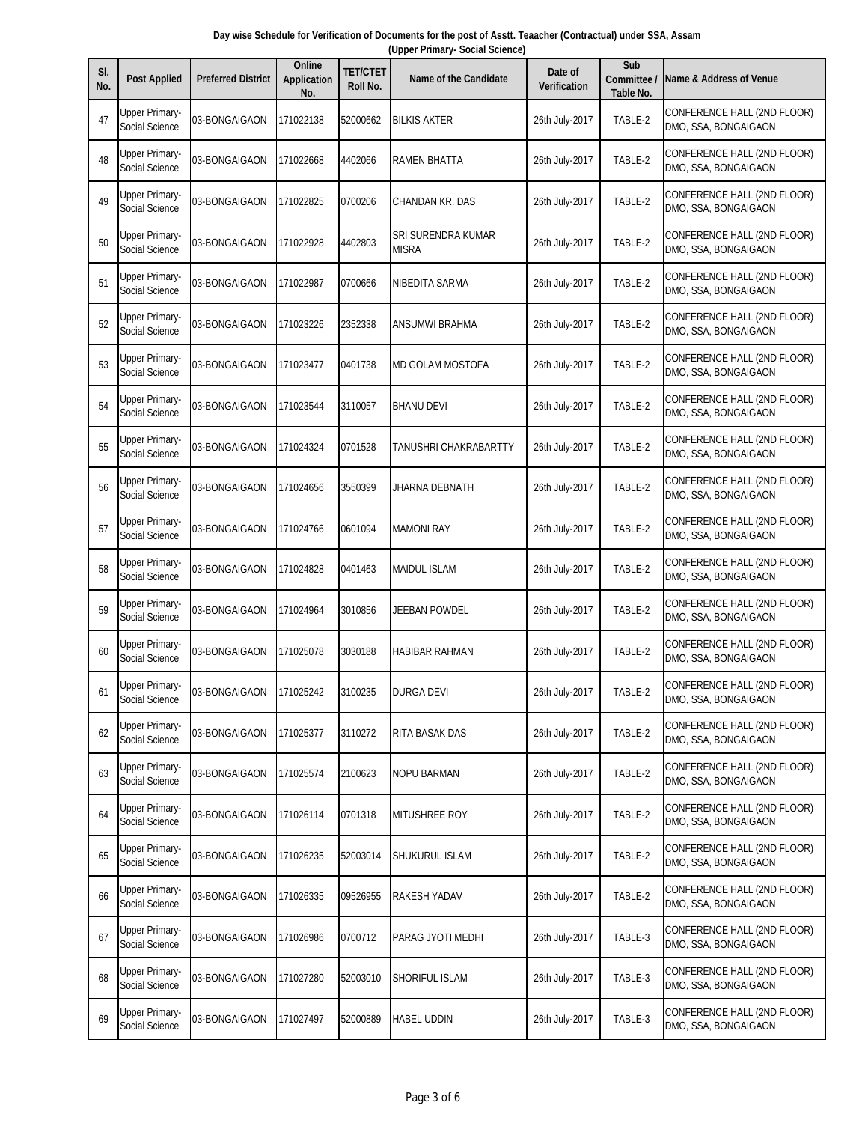| Day wise Schedule for Verification of Documents for the post of Asstt. Teaacher (Contractual) under SSA, Assam |  |  |                                 |  |  |  |  |  |  |  |
|----------------------------------------------------------------------------------------------------------------|--|--|---------------------------------|--|--|--|--|--|--|--|
|                                                                                                                |  |  | (Upper Primary- Social Science) |  |  |  |  |  |  |  |
|                                                                                                                |  |  |                                 |  |  |  |  |  |  |  |

| SI.<br>No. | <b>Post Applied</b>                     | <b>Preferred District</b> | Online<br><b>Application</b><br>No. | <b>TET/CTET</b><br>Roll No. | <b>Name of the Candidate</b>       | Date of<br><b>Verification</b> | Sub<br>Committee<br>Table No. | Name & Address of Venue                             |
|------------|-----------------------------------------|---------------------------|-------------------------------------|-----------------------------|------------------------------------|--------------------------------|-------------------------------|-----------------------------------------------------|
| 47         | <b>Upper Primary-</b><br>Social Science | 03-BONGAIGAON             | 171022138                           | 52000662                    | <b>BILKIS AKTER</b>                | 26th July-2017                 | TABLE-2                       | CONFERENCE HALL (2ND FLOOR)<br>DMO, SSA, BONGAIGAON |
| 48         | Upper Primary-<br>Social Science        | 03-BONGAIGAON             | 171022668                           | 4402066                     | <b>RAMEN BHATTA</b>                | 26th July-2017                 | TABLE-2                       | CONFERENCE HALL (2ND FLOOR)<br>DMO, SSA, BONGAIGAON |
| 49         | Upper Primary-<br>Social Science        | 03-BONGAIGAON             | 171022825                           | 0700206                     | CHANDAN KR. DAS                    | 26th July-2017                 | TABLE-2                       | CONFERENCE HALL (2ND FLOOR)<br>DMO, SSA, BONGAIGAON |
| 50         | <b>Upper Primary-</b><br>Social Science | 03-BONGAIGAON             | 171022928                           | 4402803                     | SRI SURENDRA KUMAR<br><b>MISRA</b> | 26th July-2017                 | TABLE-2                       | CONFERENCE HALL (2ND FLOOR)<br>DMO, SSA, BONGAIGAON |
| 51         | <b>Upper Primary-</b><br>Social Science | 03-BONGAIGAON             | 171022987                           | 0700666                     | NIBEDITA SARMA                     | 26th July-2017                 | TABLE-2                       | CONFERENCE HALL (2ND FLOOR)<br>DMO, SSA, BONGAIGAON |
| 52         | <b>Upper Primary-</b><br>Social Science | 03-BONGAIGAON             | 171023226                           | 2352338                     | ANSUMWI BRAHMA                     | 26th July-2017                 | TABLE-2                       | CONFERENCE HALL (2ND FLOOR)<br>DMO, SSA, BONGAIGAON |
| 53         | Upper Primary-<br>Social Science        | 03-BONGAIGAON             | 171023477                           | 0401738                     | <b>MD GOLAM MOSTOFA</b>            | 26th July-2017                 | TABLE-2                       | CONFERENCE HALL (2ND FLOOR)<br>DMO, SSA, BONGAIGAON |
| 54         | Upper Primary-<br>Social Science        | 03-BONGAIGAON             | 171023544                           | 3110057                     | <b>BHANU DEVI</b>                  | 26th July-2017                 | TABLE-2                       | CONFERENCE HALL (2ND FLOOR)<br>DMO, SSA, BONGAIGAON |
| 55         | <b>Upper Primary-</b><br>Social Science | 03-BONGAIGAON             | 171024324                           | 0701528                     | TANUSHRI CHAKRABARTTY              | 26th July-2017                 | TABLE-2                       | CONFERENCE HALL (2ND FLOOR)<br>DMO, SSA, BONGAIGAON |
| 56         | <b>Upper Primary-</b><br>Social Science | 03-BONGAIGAON             | 171024656                           | 3550399                     | JHARNA DEBNATH                     | 26th July-2017                 | TABLE-2                       | CONFERENCE HALL (2ND FLOOR)<br>DMO, SSA, BONGAIGAON |
| 57         | <b>Upper Primary-</b><br>Social Science | 03-BONGAIGAON             | 171024766                           | 0601094                     | <b>MAMONI RAY</b>                  | 26th July-2017                 | TABLE-2                       | CONFERENCE HALL (2ND FLOOR)<br>DMO, SSA, BONGAIGAON |
| 58         | Upper Primary-<br>Social Science        | 03-BONGAIGAON             | 171024828                           | 0401463                     | <b>MAIDUL ISLAM</b>                | 26th July-2017                 | TABLE-2                       | CONFERENCE HALL (2ND FLOOR)<br>DMO, SSA, BONGAIGAON |
| 59         | Upper Primary-<br>Social Science        | 03-BONGAIGAON             | 171024964                           | 3010856                     | JEEBAN POWDEL                      | 26th July-2017                 | TABLE-2                       | CONFERENCE HALL (2ND FLOOR)<br>DMO, SSA, BONGAIGAON |
| 60         | <b>Upper Primary-</b><br>Social Science | 03-BONGAIGAON             | 171025078                           | 3030188                     | <b>HABIBAR RAHMAN</b>              | 26th July-2017                 | TABLE-2                       | CONFERENCE HALL (2ND FLOOR)<br>DMO, SSA, BONGAIGAON |
| 61         | <b>Upper Primary-</b><br>Social Science | 03-BONGAIGAON             | 171025242                           | 3100235                     | DURGA DEVI                         | 26th July-2017                 | TABLE-2                       | CONFERENCE HALL (2ND FLOOR)<br>DMO, SSA, BONGAIGAON |
| 62         | <b>Upper Primary-</b><br>Social Science | 03-BONGAIGAON             | 171025377                           | 3110272                     | RITA BASAK DAS                     | 26th July-2017                 | TABLE-2                       | CONFERENCE HALL (2ND FLOOR)<br>DMO, SSA, BONGAIGAON |
| 63         | <b>Upper Primary-</b><br>Social Science | 03-BONGAIGAON             | 171025574                           | 2100623                     | <b>NOPU BARMAN</b>                 | 26th July-2017                 | TABLE-2                       | CONFERENCE HALL (2ND FLOOR)<br>DMO, SSA, BONGAIGAON |
| 64         | Upper Primary-<br>Social Science        | 03-BONGAIGAON             | 171026114                           | 0701318                     | MITUSHREE ROY                      | 26th July-2017                 | TABLE-2                       | CONFERENCE HALL (2ND FLOOR)<br>DMO, SSA, BONGAIGAON |
| 65         | <b>Upper Primary-</b><br>Social Science | 03-BONGAIGAON             | 171026235                           | 52003014                    | SHUKURUL ISLAM                     | 26th July-2017                 | TABLE-2                       | CONFERENCE HALL (2ND FLOOR)<br>DMO, SSA, BONGAIGAON |
| 66         | <b>Upper Primary-</b><br>Social Science | 03-BONGAIGAON             | 171026335                           | 09526955                    | RAKESH YADAV                       | 26th July-2017                 | TABLE-2                       | CONFERENCE HALL (2ND FLOOR)<br>DMO, SSA, BONGAIGAON |
| 67         | <b>Upper Primary-</b><br>Social Science | 03-BONGAIGAON             | 171026986                           | 0700712                     | PARAG JYOTI MEDHI                  | 26th July-2017                 | TABLE-3                       | CONFERENCE HALL (2ND FLOOR)<br>DMO, SSA, BONGAIGAON |
| 68         | <b>Upper Primary-</b><br>Social Science | 03-BONGAIGAON             | 171027280                           | 52003010                    | SHORIFUL ISLAM                     | 26th July-2017                 | TABLE-3                       | CONFERENCE HALL (2ND FLOOR)<br>DMO, SSA, BONGAIGAON |
| 69         | <b>Upper Primary-</b><br>Social Science | 03-BONGAIGAON             | 171027497                           | 52000889                    | <b>HABEL UDDIN</b>                 | 26th July-2017                 | TABLE-3                       | CONFERENCE HALL (2ND FLOOR)<br>DMO, SSA, BONGAIGAON |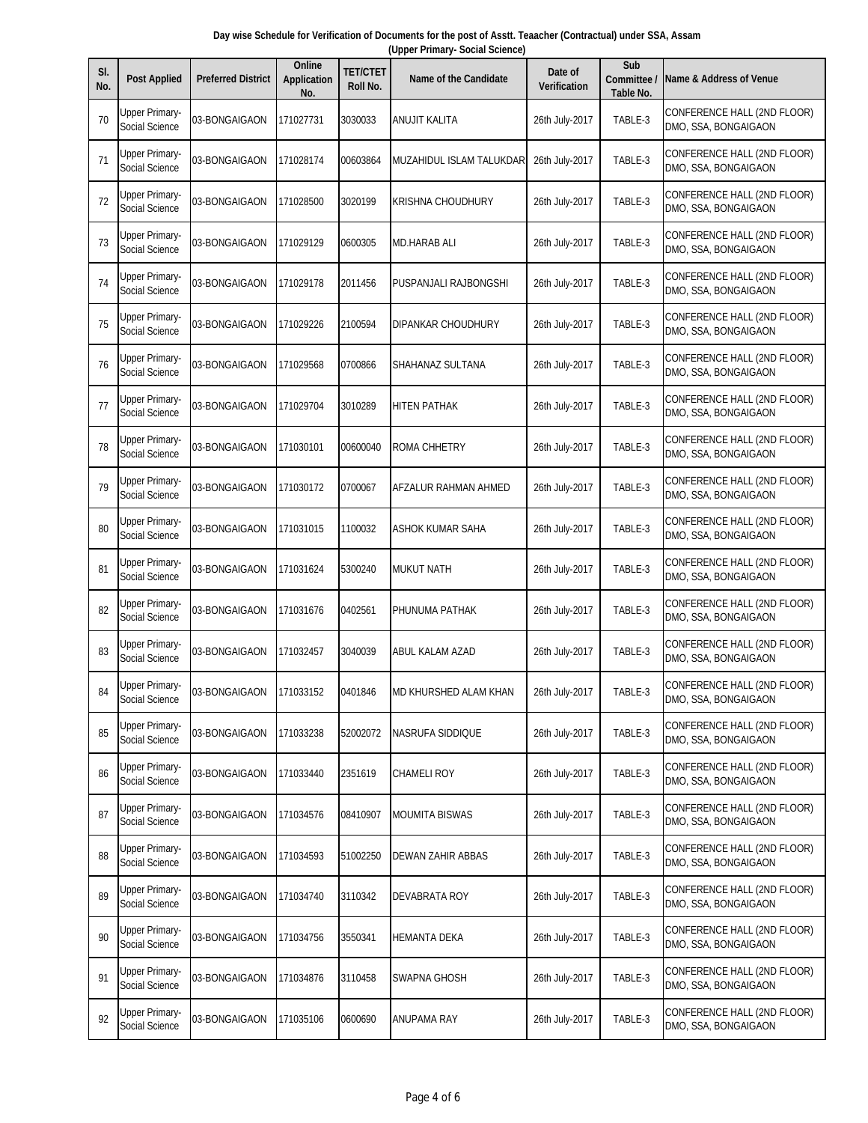|  | Day wise Schedule for Verification of Documents for the post of Asstt. Teaacher (Contractual) under SSA, Assam |  |  |
|--|----------------------------------------------------------------------------------------------------------------|--|--|
|  | (Upper Primary- Social Science)                                                                                |  |  |
|  |                                                                                                                |  |  |

| SI.<br>No. | <b>Post Applied</b>                     | <b>Preferred District</b> | Online<br><b>Application</b><br>No. | <b>TET/CTET</b><br>Roll No. | <b>Name of the Candidate</b> | Date of<br><b>Verification</b> | Sub<br>Committee /<br><b>Table No.</b> | <b>Name &amp; Address of Venue</b>                  |
|------------|-----------------------------------------|---------------------------|-------------------------------------|-----------------------------|------------------------------|--------------------------------|----------------------------------------|-----------------------------------------------------|
| 70         | <b>Upper Primary-</b><br>Social Science | 03-BONGAIGAON             | 171027731                           | 3030033                     | ANUJIT KALITA                | 26th July-2017                 | TABLE-3                                | CONFERENCE HALL (2ND FLOOR)<br>DMO, SSA, BONGAIGAON |
| 71         | Upper Primary-<br>Social Science        | 03-BONGAIGAON             | 171028174                           | 00603864                    | MUZAHIDUL ISLAM TALUKDAR     | 26th July-2017                 | TABLE-3                                | CONFERENCE HALL (2ND FLOOR)<br>DMO, SSA, BONGAIGAON |
| 72         | <b>Upper Primary-</b><br>Social Science | 03-BONGAIGAON             | 171028500                           | 3020199                     | KRISHNA CHOUDHURY            | 26th July-2017                 | TABLE-3                                | CONFERENCE HALL (2ND FLOOR)<br>DMO, SSA, BONGAIGAON |
| 73         | <b>Upper Primary-</b><br>Social Science | 03-BONGAIGAON             | 171029129                           | 0600305                     | MD.HARAB ALI                 | 26th July-2017                 | TABLE-3                                | CONFERENCE HALL (2ND FLOOR)<br>DMO, SSA, BONGAIGAON |
| 74         | <b>Upper Primary-</b><br>Social Science | 03-BONGAIGAON             | 171029178                           | 2011456                     | PUSPANJALI RAJBONGSHI        | 26th July-2017                 | TABLE-3                                | CONFERENCE HALL (2ND FLOOR)<br>DMO, SSA, BONGAIGAON |
| 75         | <b>Upper Primary-</b><br>Social Science | 03-BONGAIGAON             | 171029226                           | 2100594                     | DIPANKAR CHOUDHURY           | 26th July-2017                 | TABLE-3                                | CONFERENCE HALL (2ND FLOOR)<br>DMO, SSA, BONGAIGAON |
| 76         | Upper Primary-<br>Social Science        | 03-BONGAIGAON             | 171029568                           | 0700866                     | SHAHANAZ SULTANA             | 26th July-2017                 | TABLE-3                                | CONFERENCE HALL (2ND FLOOR)<br>DMO, SSA, BONGAIGAON |
| 77         | <b>Upper Primary-</b><br>Social Science | 03-BONGAIGAON             | 171029704                           | 3010289                     | <b>HITEN PATHAK</b>          | 26th July-2017                 | TABLE-3                                | CONFERENCE HALL (2ND FLOOR)<br>DMO, SSA, BONGAIGAON |
| 78         | Upper Primary-<br>Social Science        | 03-BONGAIGAON             | 171030101                           | 00600040                    | <b>ROMA CHHETRY</b>          | 26th July-2017                 | TABLE-3                                | CONFERENCE HALL (2ND FLOOR)<br>DMO, SSA, BONGAIGAON |
| 79         | <b>Upper Primary-</b><br>Social Science | 03-BONGAIGAON             | 171030172                           | 0700067                     | AFZALUR RAHMAN AHMED         | 26th July-2017                 | TABLE-3                                | CONFERENCE HALL (2ND FLOOR)<br>DMO, SSA, BONGAIGAON |
| 80         | <b>Upper Primary-</b><br>Social Science | 03-BONGAIGAON             | 171031015                           | 1100032                     | ASHOK KUMAR SAHA             | 26th July-2017                 | TABLE-3                                | CONFERENCE HALL (2ND FLOOR)<br>DMO, SSA, BONGAIGAON |
| 81         | Upper Primary-<br>Social Science        | 03-BONGAIGAON             | 171031624                           | 5300240                     | <b>MUKUT NATH</b>            | 26th July-2017                 | TABLE-3                                | CONFERENCE HALL (2ND FLOOR)<br>DMO, SSA, BONGAIGAON |
| 82         | <b>Upper Primary-</b><br>Social Science | 03-BONGAIGAON             | 171031676                           | 0402561                     | PHUNUMA PATHAK               | 26th July-2017                 | TABLE-3                                | CONFERENCE HALL (2ND FLOOR)<br>DMO, SSA, BONGAIGAON |
| 83         | <b>Upper Primary-</b><br>Social Science | 03-BONGAIGAON             | 171032457                           | 3040039                     | ABUL KALAM AZAD              | 26th July-2017                 | TABLE-3                                | CONFERENCE HALL (2ND FLOOR)<br>DMO, SSA, BONGAIGAON |
| 84         | <b>Upper Primary-</b><br>Social Science | 03-BONGAIGAON             | 171033152                           | 0401846                     | IMD KHURSHED ALAM KHAN       | 26th July-2017                 | TABLE-3                                | CONFERENCE HALL (2ND FLOOR)<br>DMO, SSA, BONGAIGAON |
| 85         | <b>Upper Primary-</b><br>Social Science | 03-BONGAIGAON             | 171033238                           | 52002072                    | NASRUFA SIDDIQUE             | 26th July-2017                 | TABLE-3                                | CONFERENCE HALL (2ND FLOOR)<br>DMO, SSA, BONGAIGAON |
| 86         | <b>Upper Primary-</b><br>Social Science | 03-BONGAIGAON             | 171033440                           | 2351619                     | <b>CHAMELI ROY</b>           | 26th July-2017                 | TABLE-3                                | CONFERENCE HALL (2ND FLOOR)<br>DMO, SSA, BONGAIGAON |
| 87         | <b>Upper Primary-</b><br>Social Science | 03-BONGAIGAON             | 171034576                           | 08410907                    | <b>MOUMITA BISWAS</b>        | 26th July-2017                 | TABLE-3                                | CONFERENCE HALL (2ND FLOOR)<br>DMO, SSA, BONGAIGAON |
| 88         | <b>Upper Primary-</b><br>Social Science | 03-BONGAIGAON             | 171034593                           | 51002250                    | DEWAN ZAHIR ABBAS            | 26th July-2017                 | TABLE-3                                | CONFERENCE HALL (2ND FLOOR)<br>DMO, SSA, BONGAIGAON |
| 89         | <b>Upper Primary-</b><br>Social Science | 03-BONGAIGAON             | 171034740                           | 3110342                     | DEVABRATA ROY                | 26th July-2017                 | TABLE-3                                | CONFERENCE HALL (2ND FLOOR)<br>DMO, SSA, BONGAIGAON |
| 90         | <b>Upper Primary-</b><br>Social Science | 03-BONGAIGAON             | 171034756                           | 3550341                     | <b>HEMANTA DEKA</b>          | 26th July-2017                 | TABLE-3                                | CONFERENCE HALL (2ND FLOOR)<br>DMO, SSA, BONGAIGAON |
| 91         | <b>Upper Primary-</b><br>Social Science | 03-BONGAIGAON             | 171034876                           | 3110458                     | SWAPNA GHOSH                 | 26th July-2017                 | TABLE-3                                | CONFERENCE HALL (2ND FLOOR)<br>DMO, SSA, BONGAIGAON |
| 92         | Upper Primary-<br>Social Science        | 03-BONGAIGAON             | 171035106                           | 0600690                     | ANUPAMA RAY                  | 26th July-2017                 | TABLE-3                                | CONFERENCE HALL (2ND FLOOR)<br>DMO, SSA, BONGAIGAON |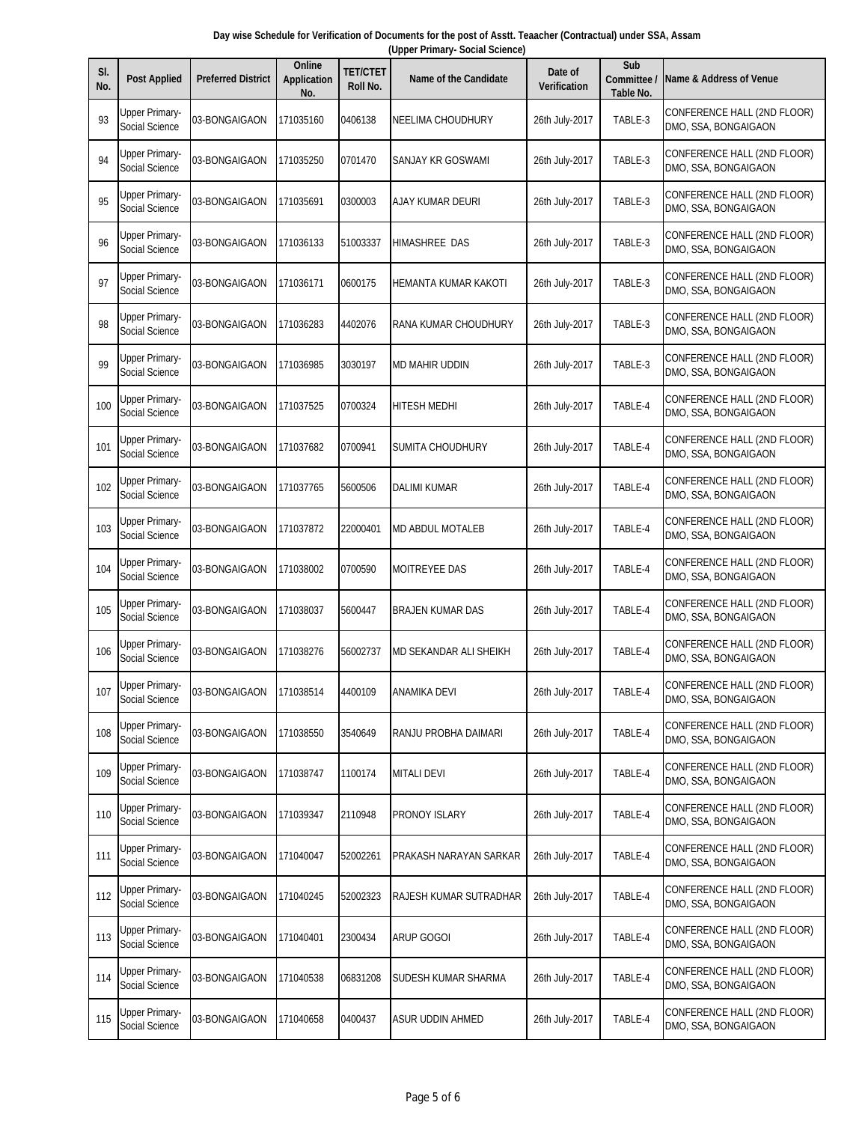| Day wise Schedule for Verification of Documents for the post of Asstt. Teaacher (Contractual) under SSA, Assam |  |
|----------------------------------------------------------------------------------------------------------------|--|
| (Upper Primary- Social Science)                                                                                |  |

| SI.<br>No. | <b>Post Applied</b>                     | <b>Preferred District</b> | Online<br><b>Application</b><br>No. | <b>TET/CTET</b><br>Roll No. | <b>Name of the Candidate</b> | Date of<br>Verification | Sub<br>Committee /<br>Table No. | Name & Address of Venue                             |
|------------|-----------------------------------------|---------------------------|-------------------------------------|-----------------------------|------------------------------|-------------------------|---------------------------------|-----------------------------------------------------|
| 93         | Upper Primary-<br>Social Science        | 03-BONGAIGAON             | 171035160                           | 0406138                     | NEELIMA CHOUDHURY            | 26th July-2017          | TABLE-3                         | CONFERENCE HALL (2ND FLOOR)<br>DMO, SSA, BONGAIGAON |
| 94         | <b>Upper Primary-</b><br>Social Science | 03-BONGAIGAON             | 171035250                           | 0701470                     | SANJAY KR GOSWAMI            | 26th July-2017          | TABLE-3                         | CONFERENCE HALL (2ND FLOOR)<br>DMO, SSA, BONGAIGAON |
| 95         | <b>Upper Primary-</b><br>Social Science | 03-BONGAIGAON             | 171035691                           | 0300003                     | AJAY KUMAR DEURI             | 26th July-2017          | TABLE-3                         | CONFERENCE HALL (2ND FLOOR)<br>DMO, SSA, BONGAIGAON |
| 96         | <b>Upper Primary-</b><br>Social Science | 03-BONGAIGAON             | 171036133                           | 51003337                    | HIMASHREE DAS                | 26th July-2017          | TABLE-3                         | CONFERENCE HALL (2ND FLOOR)<br>DMO, SSA, BONGAIGAON |
| 97         | <b>Upper Primary-</b><br>Social Science | 03-BONGAIGAON             | 171036171                           | 0600175                     | HEMANTA KUMAR KAKOTI         | 26th July-2017          | TABLE-3                         | CONFERENCE HALL (2ND FLOOR)<br>DMO, SSA, BONGAIGAON |
| 98         | Upper Primary-<br>Social Science        | 03-BONGAIGAON             | 171036283                           | 4402076                     | RANA KUMAR CHOUDHURY         | 26th July-2017          | TABLE-3                         | CONFERENCE HALL (2ND FLOOR)<br>DMO, SSA, BONGAIGAON |
| 99         | Upper Primary-<br>Social Science        | 03-BONGAIGAON             | 171036985                           | 3030197                     | MD MAHIR UDDIN               | 26th July-2017          | TABLE-3                         | CONFERENCE HALL (2ND FLOOR)<br>DMO, SSA, BONGAIGAON |
| 100        | <b>Upper Primary-</b><br>Social Science | 03-BONGAIGAON             | 171037525                           | 0700324                     | <b>HITESH MEDHI</b>          | 26th July-2017          | TABLE-4                         | CONFERENCE HALL (2ND FLOOR)<br>DMO, SSA, BONGAIGAON |
| 101        | <b>Upper Primary-</b><br>Social Science | 03-BONGAIGAON             | 171037682                           | 0700941                     | SUMITA CHOUDHURY             | 26th July-2017          | TABLE-4                         | CONFERENCE HALL (2ND FLOOR)<br>DMO, SSA, BONGAIGAON |
| 102        | <b>Upper Primary-</b><br>Social Science | 03-BONGAIGAON             | 171037765                           | 5600506                     | DALIMI KUMAR                 | 26th July-2017          | TABLE-4                         | CONFERENCE HALL (2ND FLOOR)<br>DMO, SSA, BONGAIGAON |
| 103        | Upper Primary-<br>Social Science        | 03-BONGAIGAON             | 171037872                           | 22000401                    | MD ABDUL MOTALEB             | 26th July-2017          | TABLE-4                         | CONFERENCE HALL (2ND FLOOR)<br>DMO, SSA, BONGAIGAON |
| 104        | Upper Primary-<br>Social Science        | 03-BONGAIGAON             | 171038002                           | 0700590                     | MOITREYEE DAS                | 26th July-2017          | TABLE-4                         | CONFERENCE HALL (2ND FLOOR)<br>DMO, SSA, BONGAIGAON |
| 105        | <b>Upper Primary-</b><br>Social Science | 03-BONGAIGAON             | 171038037                           | 5600447                     | <b>BRAJEN KUMAR DAS</b>      | 26th July-2017          | TABLE-4                         | CONFERENCE HALL (2ND FLOOR)<br>DMO, SSA, BONGAIGAON |
| 106        | Upper Primary-<br>Social Science        | 03-BONGAIGAON             | 171038276                           | 56002737                    | MD SEKANDAR ALI SHEIKH       | 26th July-2017          | TABLE-4                         | CONFERENCE HALL (2ND FLOOR)<br>DMO, SSA, BONGAIGAON |
| 107        | <b>Upper Primary-</b><br>Social Science | 03-BONGAIGAON             | 171038514                           | 4400109                     | ANAMIKA DEVI                 | 26th July-2017          | TABLE-4                         | CONFERENCE HALL (2ND FLOOR)<br>DMO, SSA, BONGAIGAON |
| 108        | <b>Upper Primary-</b><br>Social Science | 03-BONGAIGAON             | 171038550                           | 3540649                     | RANJU PROBHA DAIMARI         | 26th July-2017          | TABLE-4                         | CONFERENCE HALL (2ND FLOOR)<br>DMO, SSA, BONGAIGAON |
| 109        | <b>Upper Primary-</b><br>Social Science | 03-BONGAIGAON             | 171038747                           | 1100174                     | <b>MITALI DEVI</b>           | 26th July-2017          | TABLE-4                         | CONFERENCE HALL (2ND FLOOR)<br>DMO, SSA, BONGAIGAON |
| 110        | <b>Upper Primary-</b><br>Social Science | 03-BONGAIGAON             | 171039347                           | 2110948                     | PRONOY ISLARY                | 26th July-2017          | TABLE-4                         | CONFERENCE HALL (2ND FLOOR)<br>DMO, SSA, BONGAIGAON |
| 111        | <b>Upper Primary-</b><br>Social Science | 03-BONGAIGAON             | 171040047                           | 52002261                    | PRAKASH NARAYAN SARKAR       | 26th July-2017          | TABLE-4                         | CONFERENCE HALL (2ND FLOOR)<br>DMO, SSA, BONGAIGAON |
| 112        | <b>Upper Primary-</b><br>Social Science | 03-BONGAIGAON             | 171040245                           | 52002323                    | RAJESH KUMAR SUTRADHAR       | 26th July-2017          | TABLE-4                         | CONFERENCE HALL (2ND FLOOR)<br>DMO, SSA, BONGAIGAON |
| 113        | <b>Upper Primary-</b><br>Social Science | 03-BONGAIGAON             | 171040401                           | 2300434                     | ARUP GOGOI                   | 26th July-2017          | TABLE-4                         | CONFERENCE HALL (2ND FLOOR)<br>DMO, SSA, BONGAIGAON |
| 114        | <b>Upper Primary-</b><br>Social Science | 03-BONGAIGAON             | 171040538                           | 06831208                    | SUDESH KUMAR SHARMA          | 26th July-2017          | TABLE-4                         | CONFERENCE HALL (2ND FLOOR)<br>DMO, SSA, BONGAIGAON |
| 115        | <b>Upper Primary-</b><br>Social Science | 03-BONGAIGAON             | 171040658                           | 0400437                     | ASUR UDDIN AHMED             | 26th July-2017          | TABLE-4                         | CONFERENCE HALL (2ND FLOOR)<br>DMO, SSA, BONGAIGAON |